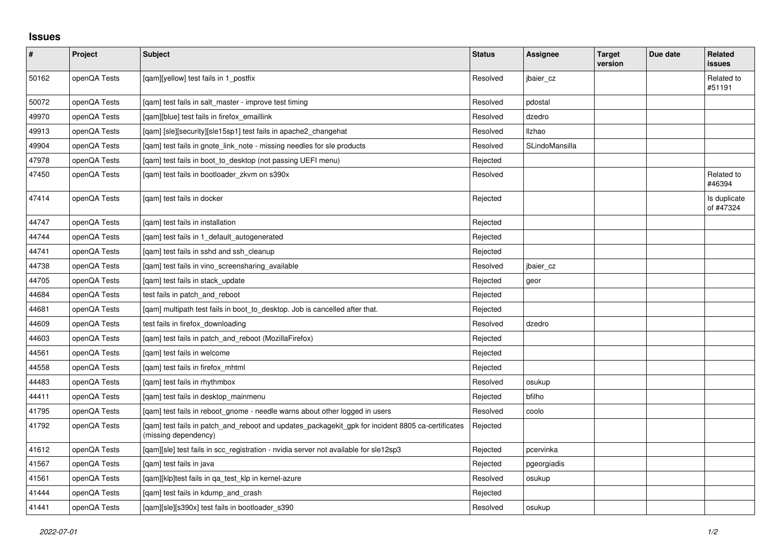## **Issues**

| $\vert$ # | Project      | Subject                                                                                                                   | <b>Status</b> | Assignee       | <b>Target</b><br>version | Due date | Related<br><b>issues</b>  |
|-----------|--------------|---------------------------------------------------------------------------------------------------------------------------|---------------|----------------|--------------------------|----------|---------------------------|
| 50162     | openQA Tests | [qam][yellow] test fails in 1_postfix                                                                                     | Resolved      | jbaier_cz      |                          |          | Related to<br>#51191      |
| 50072     | openQA Tests | [gam] test fails in salt master - improve test timing                                                                     | Resolved      | pdostal        |                          |          |                           |
| 49970     | openQA Tests | [qam][blue] test fails in firefox_emaillink                                                                               | Resolved      | dzedro         |                          |          |                           |
| 49913     | openQA Tests | [gam] [sle][security][sle15sp1] test fails in apache2 changehat                                                           | Resolved      | <b>Ilzhao</b>  |                          |          |                           |
| 49904     | openQA Tests | [qam] test fails in gnote_link_note - missing needles for sle products                                                    | Resolved      | SLindoMansilla |                          |          |                           |
| 47978     | openQA Tests | [gam] test fails in boot to desktop (not passing UEFI menu)                                                               | Rejected      |                |                          |          |                           |
| 47450     | openQA Tests | [qam] test fails in bootloader_zkvm on s390x                                                                              | Resolved      |                |                          |          | Related to<br>#46394      |
| 47414     | openQA Tests | [gam] test fails in docker                                                                                                | Rejected      |                |                          |          | Is duplicate<br>of #47324 |
| 44747     | openQA Tests | [qam] test fails in installation                                                                                          | Rejected      |                |                          |          |                           |
| 44744     | openQA Tests | [gam] test fails in 1 default autogenerated                                                                               | Rejected      |                |                          |          |                           |
| 44741     | openQA Tests | [qam] test fails in sshd and ssh_cleanup                                                                                  | Rejected      |                |                          |          |                           |
| 44738     | openQA Tests | [gam] test fails in vino screensharing available                                                                          | Resolved      | jbaier cz      |                          |          |                           |
| 44705     | openQA Tests | [gam] test fails in stack update                                                                                          | Rejected      | geor           |                          |          |                           |
| 44684     | openQA Tests | test fails in patch and reboot                                                                                            | Rejected      |                |                          |          |                           |
| 44681     | openQA Tests | [gam] multipath test fails in boot_to_desktop. Job is cancelled after that.                                               | Rejected      |                |                          |          |                           |
| 44609     | openQA Tests | test fails in firefox downloading                                                                                         | Resolved      | dzedro         |                          |          |                           |
| 44603     | openQA Tests | [gam] test fails in patch and reboot (MozillaFirefox)                                                                     | Rejected      |                |                          |          |                           |
| 44561     | openQA Tests | [qam] test fails in welcome                                                                                               | Rejected      |                |                          |          |                           |
| 44558     | openQA Tests | [gam] test fails in firefox mhtml                                                                                         | Rejected      |                |                          |          |                           |
| 44483     | openQA Tests | [qam] test fails in rhythmbox                                                                                             | Resolved      | osukup         |                          |          |                           |
| 44411     | openQA Tests | [qam] test fails in desktop_mainmenu                                                                                      | Rejected      | bfilho         |                          |          |                           |
| 41795     | openQA Tests | [gam] test fails in reboot gnome - needle warns about other logged in users                                               | Resolved      | coolo          |                          |          |                           |
| 41792     | openQA Tests | [gam] test fails in patch and reboot and updates packagekit gpk for incident 8805 ca-certificates<br>(missing dependency) | Rejected      |                |                          |          |                           |
| 41612     | openQA Tests | [qam][sle] test fails in scc_registration - nvidia server not available for sle12sp3                                      | Rejected      | pcervinka      |                          |          |                           |
| 41567     | openQA Tests | [gam] test fails in java                                                                                                  | Rejected      | pgeorgiadis    |                          |          |                           |
| 41561     | openQA Tests | [qam][klp]test fails in qa_test_klp in kernel-azure                                                                       | Resolved      | osukup         |                          |          |                           |
| 41444     | openQA Tests | [gam] test fails in kdump and crash                                                                                       | Rejected      |                |                          |          |                           |
| 41441     | openQA Tests | [qam][sle][s390x] test fails in bootloader_s390                                                                           | Resolved      | osukup         |                          |          |                           |